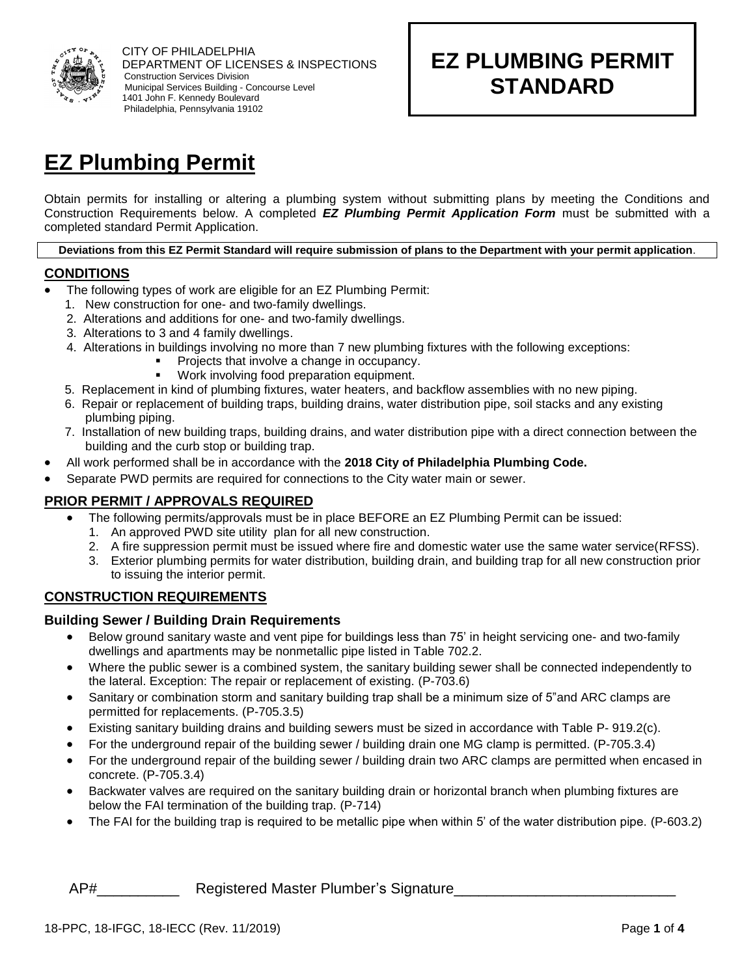

# **EZ PLUMBING PERMIT STANDARD**

# **EZ Plumbing Permit**

Obtain permits for installing or altering a plumbing system without submitting plans by meeting the Conditions and Construction Requirements below. A completed *EZ Plumbing Permit Application Form* must be submitted with a completed standard Permit Application.

**Deviations from this EZ Permit Standard will require submission of plans to the Department with your permit application**.

# **CONDITIONS**

- The following types of work are eligible for an EZ Plumbing Permit:
	- 1. New construction for one- and two-family dwellings.
	- 2. Alterations and additions for one- and two-family dwellings.
	- 3. Alterations to 3 and 4 family dwellings.
	- 4. Alterations in buildings involving no more than 7 new plumbing fixtures with the following exceptions:
		- Projects that involve a change in occupancy.
		- Work involving food preparation equipment.
	- 5. Replacement in kind of plumbing fixtures, water heaters, and backflow assemblies with no new piping.
	- 6. Repair or replacement of building traps, building drains, water distribution pipe, soil stacks and any existing plumbing piping.
	- 7. Installation of new building traps, building drains, and water distribution pipe with a direct connection between the building and the curb stop or building trap.
- All work performed shall be in accordance with the **2018 City of Philadelphia Plumbing Code.**
- Separate PWD permits are required for connections to the City water main or sewer.

## **PRIOR PERMIT / APPROVALS REQUIRED**

- The following permits/approvals must be in place BEFORE an EZ Plumbing Permit can be issued:
	- 1. An approved PWD site utility plan for all new construction.
- 2. A fire suppression permit must be issued where fire and domestic water use the same water service(RFSS).
- 3. Exterior plumbing permits for water distribution, building drain, and building trap for all new construction prior to issuing the interior permit.

## **CONSTRUCTION REQUIREMENTS**

#### **Building Sewer / Building Drain Requirements**

- Below ground sanitary waste and vent pipe for buildings less than 75' in height servicing one- and two-family dwellings and apartments may be nonmetallic pipe listed in Table 702.2.
- Where the public sewer is a combined system, the sanitary building sewer shall be connected independently to the lateral. Exception: The repair or replacement of existing. (P-703.6)
- Sanitary or combination storm and sanitary building trap shall be a minimum size of 5"and ARC clamps are permitted for replacements. (P-705.3.5)
- Existing sanitary building drains and building sewers must be sized in accordance with Table P- 919.2(c).
- For the underground repair of the building sewer / building drain one MG clamp is permitted. (P-705.3.4)
- For the underground repair of the building sewer / building drain two ARC clamps are permitted when encased in concrete. (P-705.3.4)
- Backwater valves are required on the sanitary building drain or horizontal branch when plumbing fixtures are below the FAI termination of the building trap. (P-714)
- The FAI for the building trap is required to be metallic pipe when within 5' of the water distribution pipe. (P-603.2)

## AP# The Registered Master Plumber's Signature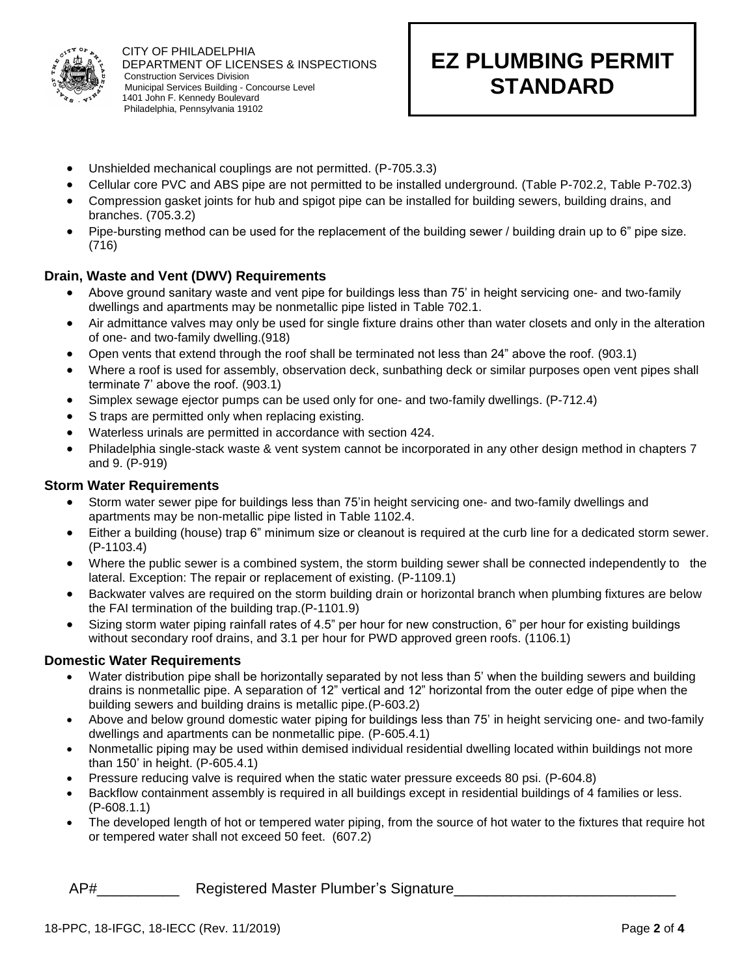

# **EZ PLUMBING PERMIT STANDARD**

- Unshielded mechanical couplings are not permitted. (P-705.3.3)
- Cellular core PVC and ABS pipe are not permitted to be installed underground. (Table P-702.2, Table P-702.3)

- Compression gasket joints for hub and spigot pipe can be installed for building sewers, building drains, and branches. (705.3.2)
- Pipe-bursting method can be used for the replacement of the building sewer / building drain up to 6" pipe size. (716)

#### **Drain, Waste and Vent (DWV) Requirements**

- Above ground sanitary waste and vent pipe for buildings less than 75' in height servicing one- and two-family dwellings and apartments may be nonmetallic pipe listed in Table 702.1.
- Air admittance valves may only be used for single fixture drains other than water closets and only in the alteration of one- and two-family dwelling.(918)
- Open vents that extend through the roof shall be terminated not less than 24" above the roof. (903.1)
- Where a roof is used for assembly, observation deck, sunbathing deck or similar purposes open vent pipes shall terminate 7' above the roof. (903.1)
- Simplex sewage ejector pumps can be used only for one- and two-family dwellings. (P-712.4)
- S traps are permitted only when replacing existing.
- Waterless urinals are permitted in accordance with section 424.
- Philadelphia single-stack waste & vent system cannot be incorporated in any other design method in chapters 7 and 9. (P-919)

#### **Storm Water Requirements**

- Storm water sewer pipe for buildings less than 75'in height servicing one- and two-family dwellings and apartments may be non-metallic pipe listed in Table 1102.4.
- Either a building (house) trap 6" minimum size or cleanout is required at the curb line for a dedicated storm sewer. (P-1103.4)
- Where the public sewer is a combined system, the storm building sewer shall be connected independently to the lateral. Exception: The repair or replacement of existing. (P-1109.1)
- Backwater valves are required on the storm building drain or horizontal branch when plumbing fixtures are below the FAI termination of the building trap.(P-1101.9)
- Sizing storm water piping rainfall rates of 4.5" per hour for new construction, 6" per hour for existing buildings without secondary roof drains, and 3.1 per hour for PWD approved green roofs. (1106.1)

#### **Domestic Water Requirements**

- Water distribution pipe shall be horizontally separated by not less than 5' when the building sewers and building drains is nonmetallic pipe. A separation of 12" vertical and 12" horizontal from the outer edge of pipe when the building sewers and building drains is metallic pipe.(P-603.2)
- Above and below ground domestic water piping for buildings less than 75' in height servicing one- and two-family dwellings and apartments can be nonmetallic pipe. (P-605.4.1)
- Nonmetallic piping may be used within demised individual residential dwelling located within buildings not more than 150' in height. (P-605.4.1)
- Pressure reducing valve is required when the static water pressure exceeds 80 psi. (P-604.8)
- Backflow containment assembly is required in all buildings except in residential buildings of 4 families or less. (P-608.1.1)
- The developed length of hot or tempered water piping, from the source of hot water to the fixtures that require hot or tempered water shall not exceed 50 feet. (607.2)

## AP# The Registered Master Plumber's Signature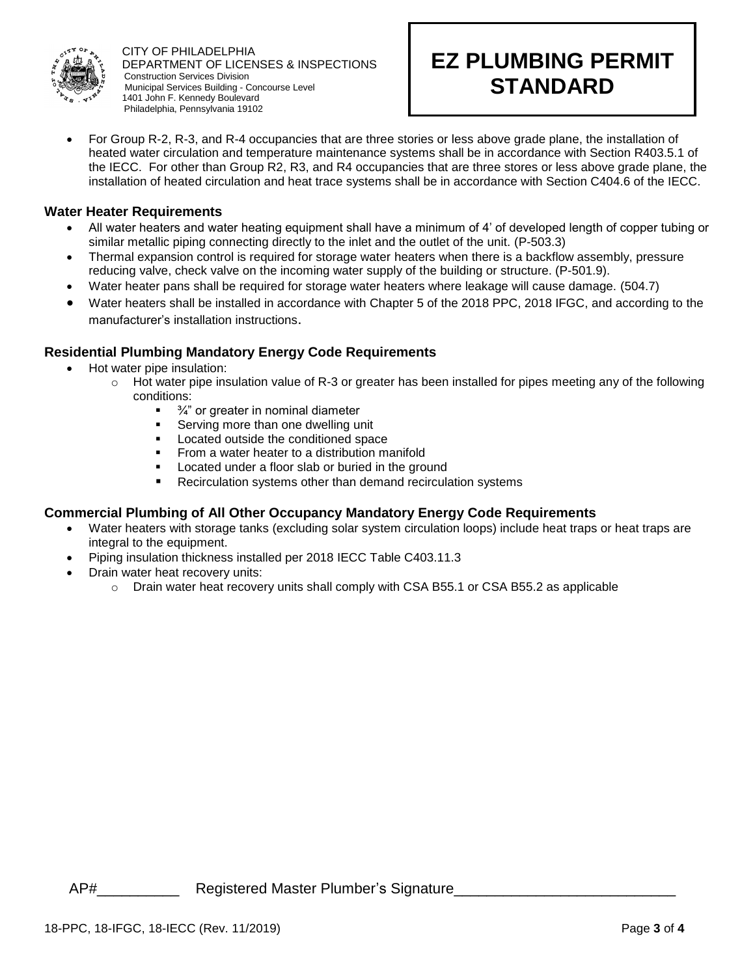

# **EZ PLUMBING PERMIT STANDARD**

• For Group R-2, R-3, and R-4 occupancies that are three stories or less above grade plane, the installation of heated water circulation and temperature maintenance systems shall be in accordance with Section R403.5.1 of the IECC. For other than Group R2, R3, and R4 occupancies that are three stores or less above grade plane, the installation of heated circulation and heat trace systems shall be in accordance with Section C404.6 of the IECC.

#### **Water Heater Requirements**

- All water heaters and water heating equipment shall have a minimum of 4' of developed length of copper tubing or similar metallic piping connecting directly to the inlet and the outlet of the unit. (P-503.3)
- Thermal expansion control is required for storage water heaters when there is a backflow assembly, pressure reducing valve, check valve on the incoming water supply of the building or structure. (P-501.9).
- Water heater pans shall be required for storage water heaters where leakage will cause damage. (504.7)
- Water heaters shall be installed in accordance with Chapter 5 of the 2018 PPC, 2018 IFGC, and according to the manufacturer's installation instructions.

## **Residential Plumbing Mandatory Energy Code Requirements**

- Hot water pipe insulation:
	- $\circ$  Hot water pipe insulation value of R-3 or greater has been installed for pipes meeting any of the following conditions:
		- $\blacksquare$   $\frac{3}{4}$ " or greater in nominal diameter
		- Serving more than one dwelling unit
		- Located outside the conditioned space
		- **•** From a water heater to a distribution manifold
		- Located under a floor slab or buried in the ground
		- Recirculation systems other than demand recirculation systems

#### **Commercial Plumbing of All Other Occupancy Mandatory Energy Code Requirements**

- Water heaters with storage tanks (excluding solar system circulation loops) include heat traps or heat traps are integral to the equipment.
- Piping insulation thickness installed per 2018 IECC Table C403.11.3
- Drain water heat recovery units:
	- $\circ$  Drain water heat recovery units shall comply with CSA B55.1 or CSA B55.2 as applicable

AP# Megistered Master Plumber's Signature